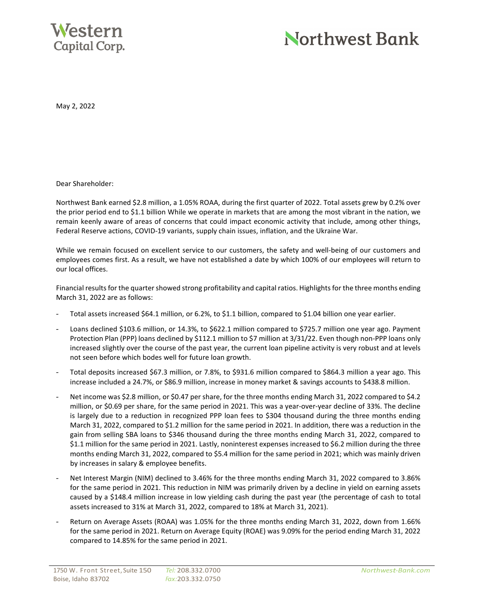

## Northwest Bank

May 2, 2022

Dear Shareholder:

Northwest Bank earned \$2.8 million, a 1.05% ROAA, during the first quarter of 2022. Total assets grew by 0.2% over the prior period end to \$1.1 billion While we operate in markets that are among the most vibrant in the nation, we remain keenly aware of areas of concerns that could impact economic activity that include, among other things, Federal Reserve actions, COVID-19 variants, supply chain issues, inflation, and the Ukraine War.

While we remain focused on excellent service to our customers, the safety and well-being of our customers and employees comes first. As a result, we have not established a date by which 100% of our employees will return to our local offices.

Financial results for the quarter showed strong profitability and capital ratios. Highlights for the three months ending March 31, 2022 are as follows:

- Total assets increased \$64.1 million, or 6.2%, to \$1.1 billion, compared to \$1.04 billion one year earlier.
- Loans declined \$103.6 million, or 14.3%, to \$622.1 million compared to \$725.7 million one year ago. Payment Protection Plan (PPP) loans declined by \$112.1 million to \$7 million at 3/31/22. Even though non-PPP loans only increased slightly over the course of the past year, the current loan pipeline activity is very robust and at levels not seen before which bodes well for future loan growth.
- Total deposits increased \$67.3 million, or 7.8%, to \$931.6 million compared to \$864.3 million a year ago. This increase included a 24.7%, or \$86.9 million, increase in money market & savings accounts to \$438.8 million.
- Net income was \$2.8 million, or \$0.47 per share, for the three months ending March 31, 2022 compared to \$4.2 million, or \$0.69 per share, for the same period in 2021. This was a year-over-year decline of 33%. The decline is largely due to a reduction in recognized PPP loan fees to \$304 thousand during the three months ending March 31, 2022, compared to \$1.2 million for the same period in 2021. In addition, there was a reduction in the gain from selling SBA loans to \$346 thousand during the three months ending March 31, 2022, compared to \$1.1 million for the same period in 2021. Lastly, noninterest expenses increased to \$6.2 million during the three months ending March 31, 2022, compared to \$5.4 million for the same period in 2021; which was mainly driven by increases in salary & employee benefits.
- Net Interest Margin (NIM) declined to 3.46% for the three months ending March 31, 2022 compared to 3.86% for the same period in 2021. This reduction in NIM was primarily driven by a decline in yield on earning assets caused by a \$148.4 million increase in low yielding cash during the past year (the percentage of cash to total assets increased to 31% at March 31, 2022, compared to 18% at March 31, 2021).
- Return on Average Assets (ROAA) was 1.05% for the three months ending March 31, 2022, down from 1.66% for the same period in 2021. Return on Average Equity (ROAE) was 9.09% for the period ending March 31, 2022 compared to 14.85% for the same period in 2021.